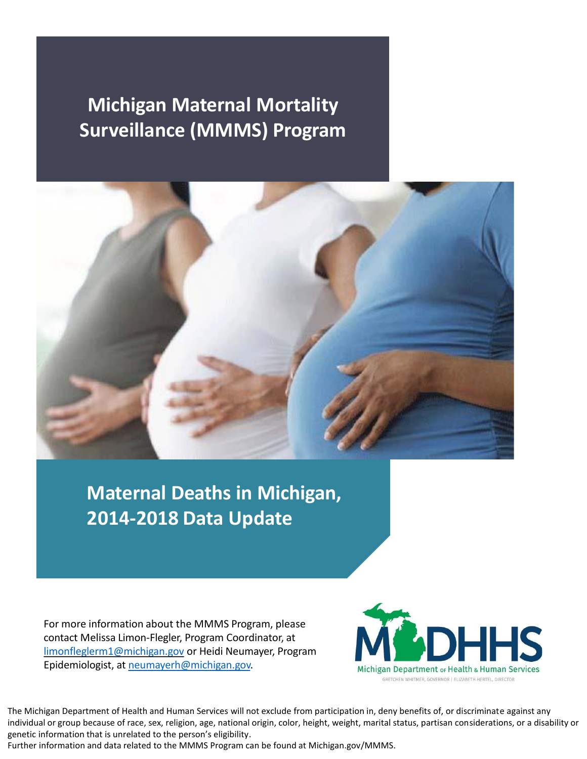# **Michigan Maternal Mortality Surveillance (MMMS) Program**



**Maternal Deaths in Michigan, 2014-2018 Data Update**

For more information about the MMMS Program, please contact Melissa Limon-Flegler, Program Coordinator, at [limonfleglerm1@michigan.gov](mailto:limonfleglerm1@michigan.gov) or Heidi Neumayer, Program Epidemiologist, at [neumayerh@michigan.gov.](mailto:neumayerh@michigan.gov)



The Michigan Department of Health and Human Services will not exclude from participation in, deny benefits of, or discriminate against any individual or group because of race, sex, religion, age, national origin, color, height, weight, marital status, partisan considerations, or a disability or genetic information that is unrelated to the person's eligibility.

Further information and data related to the MMMS Program can be found at Michigan.gov/MMMS.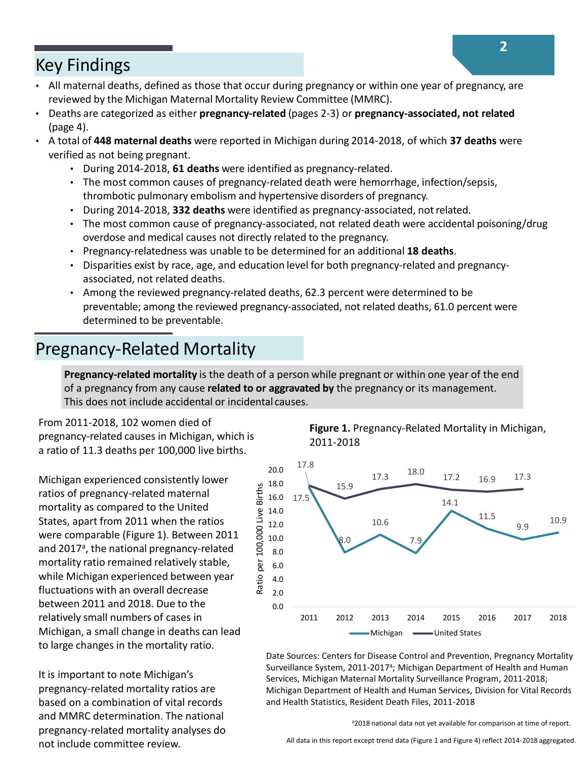### Key Findings

- All maternal deaths, defined as those that occur during pregnancy or within one year of pregnancy, are reviewed by the Michigan Maternal Mortality Review Committee (MMRC).
- Deaths are categorized as either **pregnancy-related** (pages 2-3) or **pregnancy-associated, not related** (page 4).
- A total of **448 maternal deaths** were reported in Michigan during 2014-2018, of which **37 deaths** were verified as not being pregnant.
	- During 2014-2018, **61 deaths** were identified as pregnancy-related.
	- The most common causes of pregnancy-related death were hemorrhage, infection/sepsis, thrombotic pulmonary embolism and hypertensive disorders of pregnancy.
	- During 2014-2018, **332 deaths** were identified as pregnancy-associated, notrelated.
	- The most common cause of pregnancy-associated, not related death were accidental poisoning/drug overdose and medical causes not directly related to the pregnancy.
	- Pregnancy-relatedness was unable to be determined for an additional **18 deaths**.
	- Disparities exist by race, age, and education level for both pregnancy-related and pregnancyassociated, not related deaths.
	- Among the reviewed pregnancy-related deaths, 62.3 percent were determined to be preventable; among the reviewed pregnancy-associated, not related deaths, 61.0 percent were determined to be preventable.

## Pregnancy-Related Mortality

**Pregnancy-related mortality** is the death of a person while pregnant or within one year of the end of a pregnancy from any cause **related to or aggravated by** the pregnancy or its management. This does not include accidental or incidental causes.

From 2011-2018, 102 women died of pregnancy-related causes in Michigan, which is a ratio of 11.3 deaths per 100,000 live births.

Michigan experienced consistently lower ratios of pregnancy-related maternal mortality as compared to the United States, apart from 2011 when the ratios were comparable (Figure 1). Between 2011 and 2017<sup>a</sup>, the national pregnancy-related mortality ratio remained relatively stable, while Michigan experienced between year fluctuations with an overall decrease between 2011 and 2018. Due to the relatively small numbers of cases in Michigan, a small change in deaths can lead to large changes in the mortality ratio.

It is important to note Michigan's pregnancy-related mortality ratios are based on a combination of vital records and MMRC determination. The national pregnancy-related mortality analyses do **Figure 1.** Pregnancy-Related Mortality in Michigan, 2011-2018



Date Sources: Centers for Disease Control and Prevention, Pregnancy Mortality Surveillance System, 2011-2017<sup>a</sup>; Michigan Department of Health and Human Services, Michigan Maternal Mortality Surveillance Program, 2011-2018; Michigan Department of Health and Human Services, Division for Vital Records and Health Statistics, Resident Death Files, 2011-2018

a2018 national data not yet available for comparison at time of report.

not include committee review. All data in this report except trend data (Figure 1 and Figure 4) reflect 2014-2018 aggregated.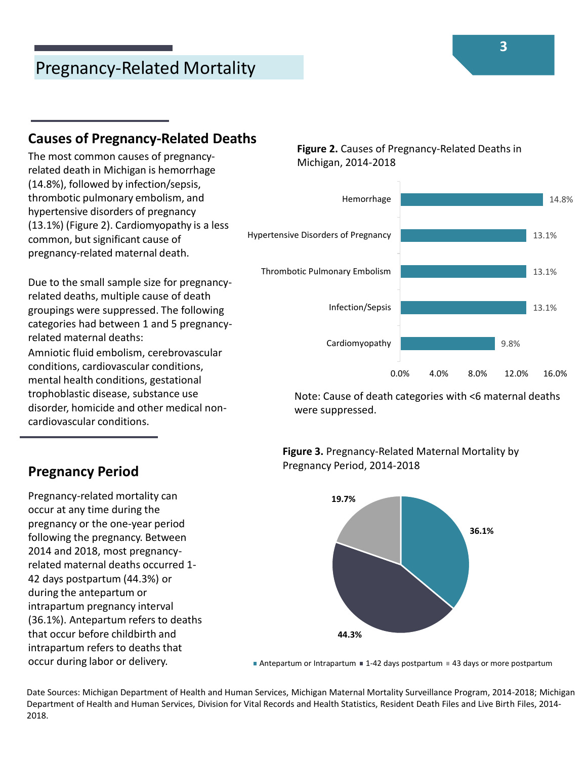## Pregnancy-Related Mortality

#### **Causes of Pregnancy-Related Deaths**

The most common causes of pregnancyrelated death in Michigan is hemorrhage (14.8%), followed by infection/sepsis, thrombotic pulmonary embolism, and hypertensive disorders of pregnancy (13.1%) (Figure 2). Cardiomyopathy is a less common, but significant cause of pregnancy-related maternal death.

Due to the small sample size for pregnancyrelated deaths, multiple cause of death groupings were suppressed. The following categories had between 1 and 5 pregnancyrelated maternal deaths: Amniotic fluid embolism, cerebrovascular conditions, cardiovascular conditions, mental health conditions, gestational trophoblastic disease, substance use disorder, homicide and other medical noncardiovascular conditions.

**Figure 2.** Causes of Pregnancy-Related Deaths in Michigan, 2014-2018



Note: Cause of death categories with <6 maternal deaths were suppressed.





#### **Pregnancy Period**

Pregnancy-related mortality can occur at any time during the pregnancy or the one-year period following the pregnancy. Between 2014 and 2018, most pregnancyrelated maternal deaths occurred 1- 42 days postpartum (44.3%) or during the antepartum or intrapartum pregnancy interval (36.1%). Antepartum refers to deaths that occur before childbirth and intrapartum refers to deaths that occur during labor or delivery.

Antepartum or Intrapartum  $\blacksquare$  1-42 days postpartum  $\blacksquare$  43 days or more postpartum

Date Sources: Michigan Department of Health and Human Services, Michigan Maternal Mortality Surveillance Program, 2014-2018; Michigan Department of Health and Human Services, Division for Vital Records and Health Statistics, Resident Death Files and Live Birth Files, 2014- 2018.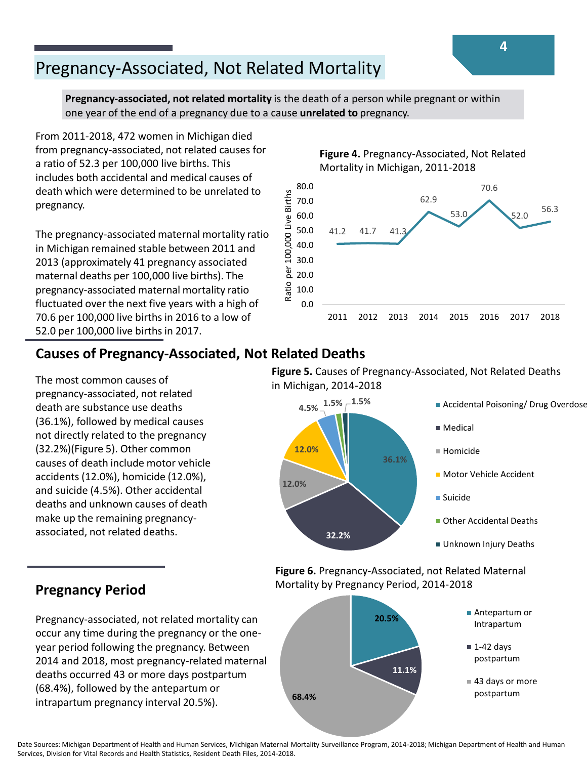## Pregnancy-Associated, Not Related Mortality

**Pregnancy-associated, not related mortality** is the death of a person while pregnant or within one year of the end of a pregnancy due to a cause **unrelated to** pregnancy.

From 2011-2018, 472 women in Michigan died from pregnancy-associated, not related causes for a ratio of 52.3 per 100,000 live births. This includes both accidental and medical causes of death which were determined to be unrelated to pregnancy.

The pregnancy-associated maternal mortality ratio in Michigan remained stable between 2011 and 2013 (approximately 41 pregnancy associated maternal deaths per 100,000 live births). The pregnancy-associated maternal mortality ratio fluctuated over the next five years with a high of 70.6 per 100,000 live births in 2016 to a low of 52.0 per 100,000 live births in 2017.

#### **Figure 4.** Pregnancy-Associated, Not Related Mortality in Michigan, 2011-2018



### **Causes of Pregnancy-Associated, Not Related Deaths**

The most common causes of pregnancy-associated, not related death are substance use deaths (36.1%), followed by medical causes not directly related to the pregnancy (32.2%)(Figure 5). Other common causes of death include motor vehicle accidents (12.0%), homicide (12.0%), and suicide (4.5%). Other accidental deaths and unknown causes of death make up the remaining pregnancyassociated, not related deaths.

**Figure 5.** Causes of Pregnancy-Associated, Not Related Deaths in Michigan, 2014-2018



**Figure 6.** Pregnancy-Associated, not Related Maternal Mortality by Pregnancy Period, 2014-2018



### **Pregnancy Period**

Pregnancy-associated, not related mortality can occur any time during the pregnancy or the oneyear period following the pregnancy. Between 2014 and 2018, most pregnancy-related maternal deaths occurred 43 or more days postpartum (68.4%), followed by the antepartum or intrapartum pregnancy interval 20.5%).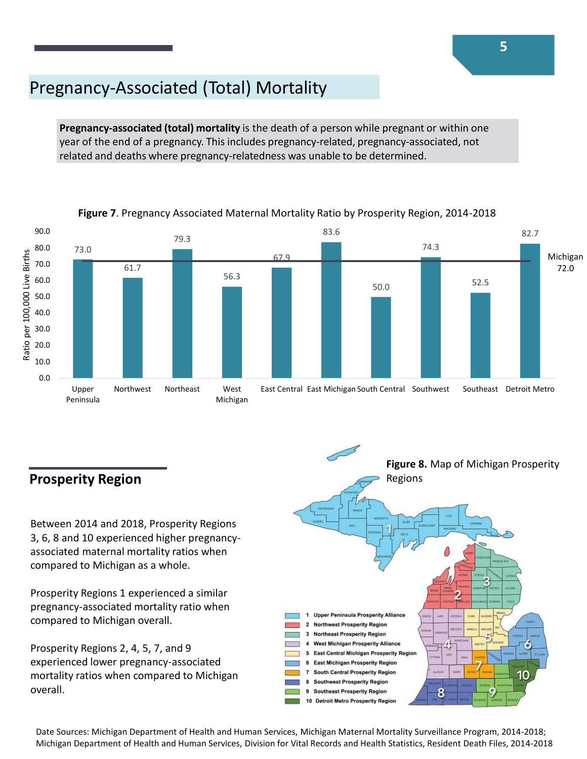## Pregnancy-Associated (Total) Mortality

**Pregnancy-associated (total) mortality** is the death of a person while pregnant or within one year of the end of a pregnancy. This includes pregnancy-related, pregnancy-associated, not related and deaths where pregnancy-relatedness was unable to be determined.



#### **Figure 7**. Pregnancy Associated Maternal Mortality Ratio by Prosperity Region, 2014-2018

### **Prosperity Region**

Between 2014 and 2018, Prosperity Regions 3, 6, 8 and 10 experienced higher pregnancyassociated maternal mortality ratios when compared to Michigan as a whole.

Prosperity Regions 1 experienced a similar pregnancy-associated mortality ratio when compared to Michigan overall.

Prosperity Regions 2, 4, 5, 7, and 9 experienced lower pregnancy-associated mortality ratios when compared to Michigan overall.



Date Sources: Michigan Department of Health and Human Services, Michigan Maternal Mortality Surveillance Program, 2014-2018; Michigan Department of Health and Human Services, Division for Vital Records and Health Statistics, Resident Death Files, 2014-2018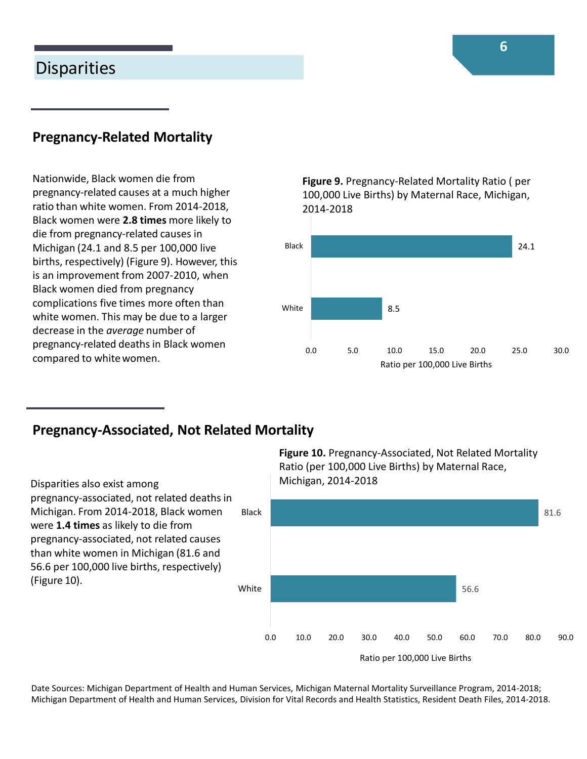### **Disparities**

### **Pregnancy-Related Mortality**

Nationwide, Black women die from pregnancy-related causes at a much higher ratio than white women. From 2014-2018, Black women were **2.8 times** more likely to die from pregnancy-related causes in Michigan (24.1 and 8.5 per 100,000 live births, respectively) (Figure 9). However, this is an improvement from 2007-2010, when Black women died from pregnancy complications five times more often than white women. This may be due to a larger decrease in the *average* number of pregnancy-related deaths in Black women compared to white women.

**Figure 9.** Pregnancy-Related Mortality Ratio ( per 100,000 Live Births) by Maternal Race, Michigan, 2014-2018



#### **Pregnancy-Associated, Not Related Mortality**

Disparities also exist among pregnancy-associated, not related deaths in Michigan. From 2014-2018, Black women were **1.4 times** as likely to die from pregnancy-associated, not related causes than white women in Michigan (81.6 and 56.6 per 100,000 live births, respectively) (Figure 10). White Black **Figure 10.** Pregnancy-Associated, Not Related Mortality Ratio (per 100,000 Live Births) by Maternal Race, Michigan, 2014-2018



Date Sources: Michigan Department of Health and Human Services, Michigan Maternal Mortality Surveillance Program, 2014-2018; Michigan Department of Health and Human Services, Division for Vital Records and Health Statistics, Resident Death Files, 2014-2018.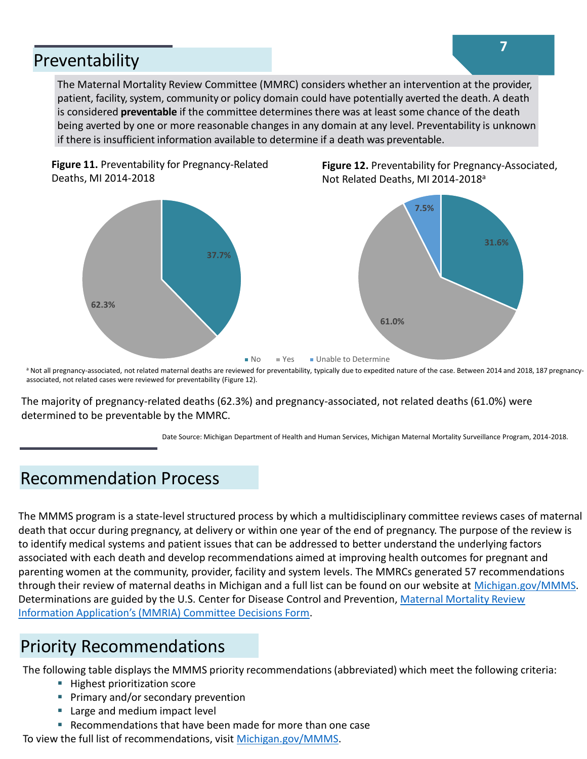### Preventability

The Maternal Mortality Review Committee (MMRC) considers whether an intervention at the provider, patient, facility, system, community or policy domain could have potentially averted the death. A death is considered **preventable** if the committee determines there was at least some chance of the death being averted by one or more reasonable changes in any domain at any level. Preventability is unknown if there is insufficient information available to determine if a death was preventable.





a Not all pregnancy-associated, not related maternal deaths are reviewed for preventability, typically due to expedited nature of the case. Between 2014 and 2018, 187 pregnancyassociated, not related cases were reviewed for preventability (Figure 12).

The majority of pregnancy-related deaths (62.3%) and pregnancy-associated, not related deaths (61.0%) were determined to be preventable by the MMRC.

Date Source: Michigan Department of Health and Human Services, Michigan Maternal Mortality Surveillance Program, 2014-2018.

### Recommendation Process

The MMMS program is a state-level structured process by which a multidisciplinary committee reviews cases of maternal death that occur during pregnancy, at delivery or within one year of the end of pregnancy. The purpose of the review is to identify medical systems and patient issues that can be addressed to better understand the underlying factors associated with each death and develop recommendations aimed at improving health outcomes for pregnant and parenting women at the community, provider, facility and system levels. The MMRCs generated 57 recommendations through their review of maternal deaths in Michigan and a full list can be found on our website at [Michigan.gov/MMMS.](http://www.michigan.gov/MMMS) Determinations are guided by the U.S. Center for Disease Control and Prevention, Maternal Mortality Review Information Application's (MMRIA) Committee Decisions Form.

### Priority Recommendations

The following table displays the MMMS priority recommendations (abbreviated) which meet the following criteria:

- Highest prioritization score
- **Primary and/or secondary prevention**
- Large and medium impact level
- Recommendations that have been made for more than one case

To view the full list of recommendations, visit [Michigan.gov/MMMS](http://www.michigan.gov/MMMS).

**Figure 12.** Preventability for Pregnancy-Associated, Not Related Deaths, MI 2014-2018<sup>a</sup>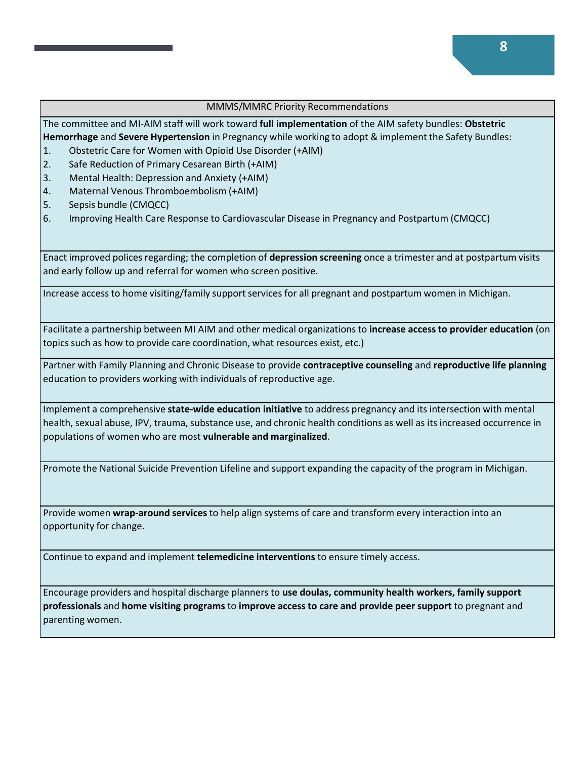#### MMMS/MMRC Priority Recommendations

The committee and MI-AIM staff will work toward **full implementation** of the AIM safety bundles: **Obstetric Hemorrhage** and **Severe Hypertension** in Pregnancy while working to adopt & implement the Safety Bundles:

- 1. Obstetric Care for Women with Opioid Use Disorder (+AIM)
- 2. Safe Reduction of Primary Cesarean Birth (+AIM)
- 3. Mental Health: Depression and Anxiety (+AIM)
- 4. Maternal Venous Thromboembolism (+AIM)
- 5. Sepsis bundle (CMQCC)
- 6. Improving Health Care Response to Cardiovascular Disease in Pregnancy and Postpartum (CMQCC)

Enact improved polices regarding; the completion of **depression screening** once a trimester and at postpartum visits and early follow up and referral for women who screen positive.

Increase access to home visiting/family support services for all pregnant and postpartum women in Michigan.

Facilitate a partnership between MI AIM and other medical organizations to **increase access to provider education** (on topics such as how to provide care coordination, what resources exist, etc.)

Partner with Family Planning and Chronic Disease to provide **contraceptive counseling** and **reproductive life planning**  education to providers working with individuals of reproductive age.

Implement a comprehensive **state-wide education initiative** to address pregnancy and its intersection with mental health, sexual abuse, IPV, trauma, substance use, and chronic health conditions as well as its increased occurrence in populations of women who are most **vulnerable and marginalized**.

Promote the National Suicide Prevention Lifeline and support expanding the capacity of the program in Michigan.

Provide women **wrap-around services** to help align systems of care and transform every interaction into an opportunity for change.

Continue to expand and implement **telemedicine interventions** to ensure timely access.

Encourage providers and hospital discharge planners to **use doulas, community health workers, family support professionals** and **home visiting programs** to **improve access to care and provide peer support** to pregnant and parenting women.